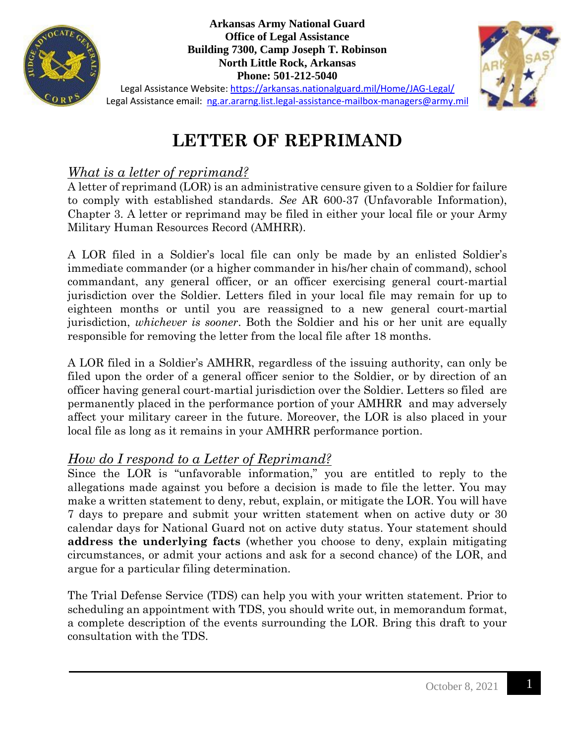

**Arkansas Army National Guard Office of Legal Assistance Building 7300, Camp Joseph T. Robinson North Little Rock, Arkansas Phone: 501-212-5040**



Legal Assistance Website:<https://arkansas.nationalguard.mil/Home/JAG-Legal/> Legal Assistance email: [ng.ar.ararng.list.legal-assistance-mailbox-managers@army.mil](mailto:ng.ar.ararng.list.legal-assistance-mailbox-managers@army.mil)

# **LETTER OF REPRIMAND**

## *What is a letter of reprimand?*

A letter of reprimand (LOR) is an administrative censure given to a Soldier for failure to comply with established standards. *See* AR 600-37 (Unfavorable Information), Chapter 3. A letter or reprimand may be filed in either your local file or your Army Military Human Resources Record (AMHRR).

A LOR filed in a Soldier's local file can only be made by an enlisted Soldier's immediate commander (or a higher commander in his/her chain of command), school commandant, any general officer, or an officer exercising general court-martial jurisdiction over the Soldier. Letters filed in your local file may remain for up to eighteen months or until you are reassigned to a new general court-martial jurisdiction, *whichever is sooner*. Both the Soldier and his or her unit are equally responsible for removing the letter from the local file after 18 months.

A LOR filed in a Soldier's AMHRR, regardless of the issuing authority, can only be filed upon the order of a general officer senior to the Soldier, or by direction of an officer having general court-martial jurisdiction over the Soldier. Letters so filed are permanently placed in the performance portion of your AMHRR and may adversely affect your military career in the future. Moreover, the LOR is also placed in your local file as long as it remains in your AMHRR performance portion.

### *How do I respond to a Letter of Reprimand?*

Since the LOR is "unfavorable information," you are entitled to reply to the allegations made against you before a decision is made to file the letter. You may make a written statement to deny, rebut, explain, or mitigate the LOR. You will have 7 days to prepare and submit your written statement when on active duty or 30 calendar days for National Guard not on active duty status. Your statement should **address the underlying facts** (whether you choose to deny, explain mitigating circumstances, or admit your actions and ask for a second chance) of the LOR, and argue for a particular filing determination.

The Trial Defense Service (TDS) can help you with your written statement. Prior to scheduling an appointment with TDS, you should write out, in memorandum format, a complete description of the events surrounding the LOR. Bring this draft to your consultation with the TDS.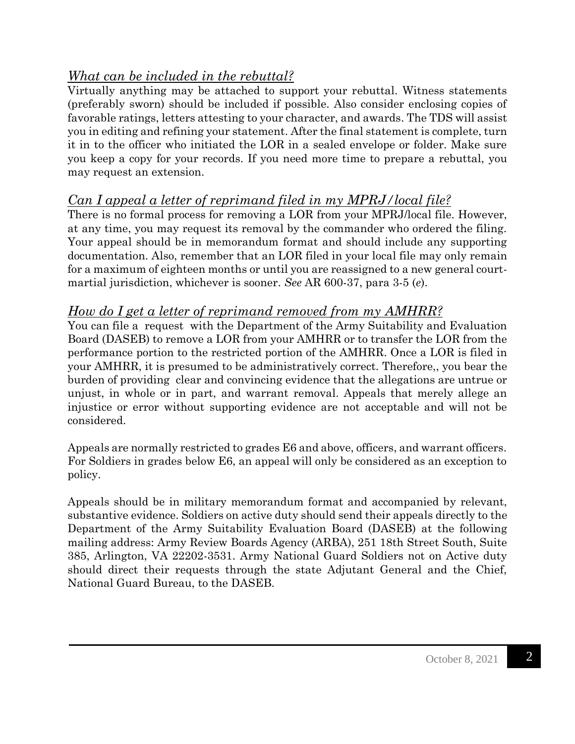# *What can be included in the rebuttal?*

Virtually anything may be attached to support your rebuttal. Witness statements (preferably sworn) should be included if possible. Also consider enclosing copies of favorable ratings, letters attesting to your character, and awards. The TDS will assist you in editing and refining your statement. After the final statement is complete, turn it in to the officer who initiated the LOR in a sealed envelope or folder. Make sure you keep a copy for your records. If you need more time to prepare a rebuttal, you may request an extension.

### *Can I appeal a letter of reprimand filed in my MPRJ/local file?*

There is no formal process for removing a LOR from your MPRJ/local file. However, at any time, you may request its removal by the commander who ordered the filing. Your appeal should be in memorandum format and should include any supporting documentation. Also, remember that an LOR filed in your local file may only remain for a maximum of eighteen months or until you are reassigned to a new general courtmartial jurisdiction, whichever is sooner. *See* AR 600-37, para 3-5 (*e*).

#### *How do I get a letter of reprimand removed from my AMHRR?*

You can file a request with the Department of the Army Suitability and Evaluation Board (DASEB) to remove a LOR from your AMHRR or to transfer the LOR from the performance portion to the restricted portion of the AMHRR. Once a LOR is filed in your AMHRR, it is presumed to be administratively correct. Therefore,, you bear the burden of providing clear and convincing evidence that the allegations are untrue or unjust, in whole or in part, and warrant removal. Appeals that merely allege an injustice or error without supporting evidence are not acceptable and will not be considered.

Appeals are normally restricted to grades E6 and above, officers, and warrant officers. For Soldiers in grades below E6, an appeal will only be considered as an exception to policy.

Appeals should be in military memorandum format and accompanied by relevant, substantive evidence. Soldiers on active duty should send their appeals directly to the Department of the Army Suitability Evaluation Board (DASEB) at the following mailing address: Army Review Boards Agency (ARBA), 251 18th Street South, Suite 385, Arlington, VA 22202-3531. Army National Guard Soldiers not on Active duty should direct their requests through the state Adjutant General and the Chief, National Guard Bureau, to the DASEB.